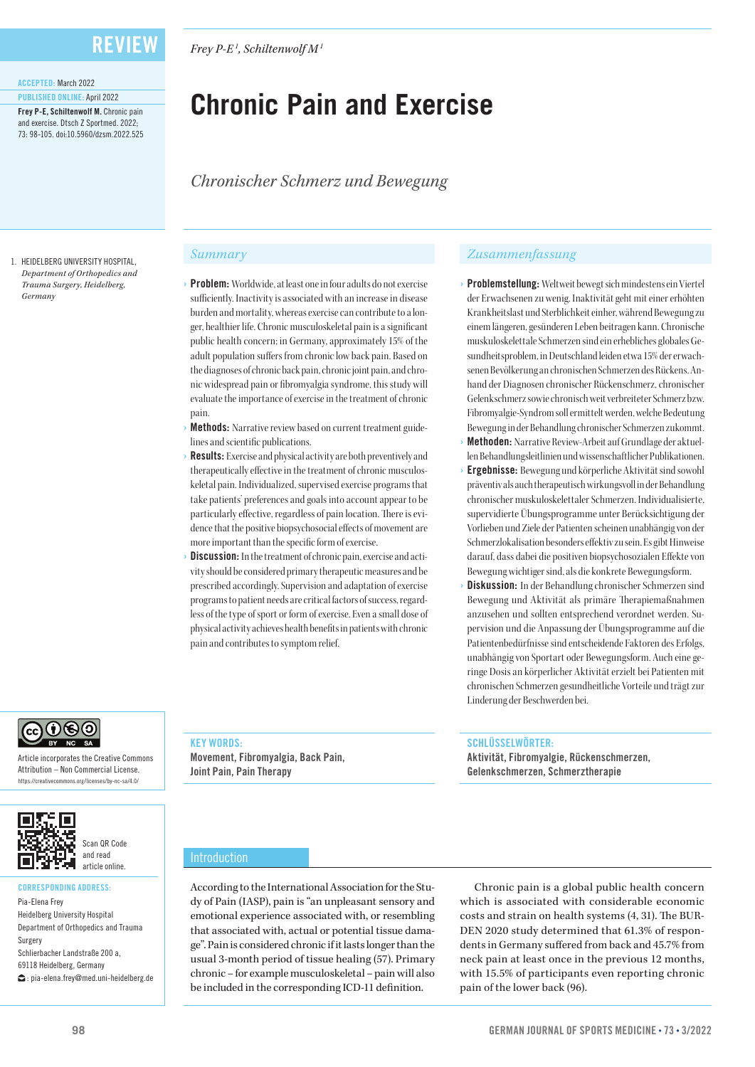*Frey P-E1 , Schiltenwolf M1*

# **Chronic Pain and Exercise**

*Chronischer Schmerz und Bewegung*

#### 1. HEIDELBERG UNIVERSITY HOSPITAL, *Department of Orthopedics and Trauma Surgery, Heidelberg, Germany*

ACCEPTED: March 2022 PUBLISHED ONLINE: April 2022

Frey P-F, Schiltenwolf M. Chronic pain and exercise. Dtsch Z Sportmed. 2022; 73: 98-105. doi:10.5960/dzsm.2022.525

- **Problem:** Worldwide, at least one in four adults do not exercise sufficiently. Inactivity is associated with an increase in disease burden and mortality, whereas exercise can contribute to a longer, healthier life. Chronic musculoskeletal pain is a significant public health concern; in Germany, approximately 15% of the adult population suffers from chronic low back pain. Based on the diagnoses of chronic back pain, chronic joint pain, and chronic widespread pain or fibromyalgia syndrome, this study will evaluate the importance of exercise in the treatment of chronic pain.
- Methods: Narrative review based on current treatment guidelines and scientific publications.
- **Results:** Exercise and physical activity are both preventively and therapeutically effective in the treatment of chronic musculoskeletal pain. Individualized, supervised exercise programs that take patients' preferences and goals into account appear to be particularly effective, regardless of pain location. There is evidence that the positive biopsychosocial effects of movement are more important than the specific form of exercise.
- **Discussion:** In the treatment of chronic pain, exercise and activity should be considered primary therapeutic measures and be prescribed accordingly. Supervision and adaptation of exercise programs to patient needs are critical factors of success, regardless of the type of sport or form of exercise. Even a small dose of physical activity achieves health benefits in patients with chronic pain and contributes to symptom relief.

#### *Summary Zusammenfassung*

- Problemstellung: Weltweit bewegt sich mindestens ein Viertel der Erwachsenen zu wenig. Inaktivität geht mit einer erhöhten Krankheitslast und Sterblichkeit einher, während Bewegung zu einem längeren, gesünderen Leben beitragen kann. Chronische muskuloskelettale Schmerzen sind ein erhebliches globales Gesundheitsproblem, in Deutschland leiden etwa 15% der erwachsenen Bevölkerung an chronischen Schmerzen des Rückens. Anhand der Diagnosen chronischer Rückenschmerz, chronischer Gelenkschmerz sowie chronisch weit verbreiteter Schmerz bzw. Fibromyalgie-Syndrom soll ermittelt werden, welche Bedeutung Bewegung in der Behandlung chronischer Schmerzen zukommt.
- Methoden: Narrative Review-Arbeit auf Grundlage der aktuellen Behandlungsleitlinien und wissenschaftlicher Publikationen.
- **Ergebnisse:** Bewegung und körperliche Aktivität sind sowohl präventiv als auch therapeutisch wirkungsvoll in der Behandlung chronischer muskuloskelettaler Schmerzen. Individualisierte, supervidierte Übungsprogramme unter Berücksichtigung der Vorlieben und Ziele der Patienten scheinen unabhängig von der Schmerzlokalisation besonders effektiv zu sein. Es gibt Hinweise darauf, dass dabei die positiven biopsychosozialen Effekte von Bewegung wichtiger sind, als die konkrete Bewegungsform.
- Diskussion: In der Behandlung chronischer Schmerzen sind Bewegung und Aktivität als primäre Therapiemaßnahmen anzusehen und sollten entsprechend verordnet werden. Supervision und die Anpassung der Übungsprogramme auf die Patientenbedürfnisse sind entscheidende Faktoren des Erfolgs, unabhängig von Sportart oder Bewegungsform. Auch eine geringe Dosis an körperlicher Aktivität erzielt bei Patienten mit chronischen Schmerzen gesundheitliche Vorteile und trägt zur Linderung der Beschwerden bei.

#### SCHLÜSSELWÖRTER:

Aktivität, Fibromyalgie, Rückenschmerzen, Gelenkschmerzen, Schmerztherapie

Article incorporates the Creative Commons Attribution – Non Commercial License. https://creativecommons.org/licenses/by-nc-sa/4.0/



෬ඁ౧ඁ෧෨

### CORRESPONDING ADDRESS:

Pia-Elena Frey Heidelberg University Hospital Department of Orthopedics and Trauma Surgery Schlierbacher Landstraße 200 a, 69118 Heidelberg, Germany : pia-elena.frey@med.uni-heidelberg.de

### KEY WORDS:

Movement, Fibromyalgia, Back Pain, Joint Pain, Pain Therapy

Introduction

According to the International Association for the Study of Pain (IASP), pain is "an unpleasant sensory and emotional experience associated with, or resembling that associated with, actual or potential tissue damage". Pain is considered chronic if it lasts longer than the usual 3-month period of tissue healing (57). Primary chronic – for example musculoskeletal – pain will also be included in the corresponding ICD-11 definition.

Chronic pain is a global public health concern which is associated with considerable economic costs and strain on health systems (4, 31). The BUR-DEN 2020 study determined that 61.3% of respondents in Germany suffered from back and 45.7% from neck pain at least once in the previous 12 months, with 15.5% of participants even reporting chronic pain of the lower back (96).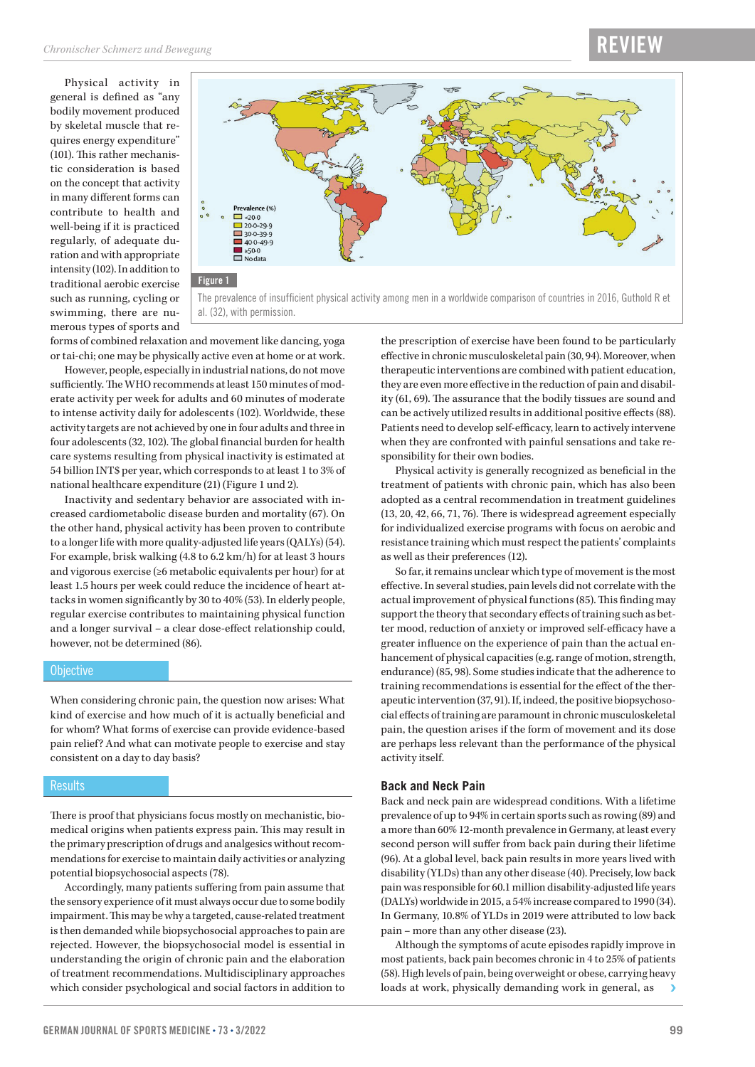Physical activity in general is defined as "any bodily movement produced by skeletal muscle that requires energy expenditure" (101). This rather mechanistic consideration is based on the concept that activity in many different forms can contribute to health and well-being if it is practiced regularly, of adequate duration and with appropriate intensity (102). In addition to traditional aerobic exercise such as running, cycling or swimming, there are numerous types of sports and



forms of combined relaxation and movement like dancing, yoga or tai-chi; one may be physically active even at home or at work.

However, people, especially in industrial nations, do not move sufficiently. The WHO recommends at least 150 minutes of moderate activity per week for adults and 60 minutes of moderate to intense activity daily for adolescents (102). Worldwide, these activity targets are not achieved by one in four adults and three in four adolescents (32, 102). The global financial burden for health care systems resulting from physical inactivity is estimated at 54 billion INT\$ per year, which corresponds to at least 1 to 3% of national healthcare expenditure (21) (Figure 1 und 2).

Inactivity and sedentary behavior are associated with increased cardiometabolic disease burden and mortality (67). On the other hand, physical activity has been proven to contribute to a longer life with more quality-adjusted life years (QALYs) (54). For example, brisk walking (4.8 to 6.2 km/h) for at least 3 hours and vigorous exercise (≥6 metabolic equivalents per hour) for at least 1.5 hours per week could reduce the incidence of heart attacks in women significantly by 30 to 40% (53). In elderly people, regular exercise contributes to maintaining physical function and a longer survival – a clear dose-effect relationship could, however, not be determined (86).

#### **Objective**

When considering chronic pain, the question now arises: What kind of exercise and how much of it is actually beneficial and for whom? What forms of exercise can provide evidence-based pain relief? And what can motivate people to exercise and stay consistent on a day to day basis?

#### **Results**

There is proof that physicians focus mostly on mechanistic, biomedical origins when patients express pain. This may result in the primary prescription of drugs and analgesics without recommendations for exercise to maintain daily activities or analyzing potential biopsychosocial aspects (78).

Accordingly, many patients suffering from pain assume that the sensory experience of it must always occur due to some bodily impairment. This may be why a targeted, cause-related treatment is then demanded while biopsychosocial approaches to pain are rejected. However, the biopsychosocial model is essential in understanding the origin of chronic pain and the elaboration of treatment recommendations. Multidisciplinary approaches which consider psychological and social factors in addition to

the prescription of exercise have been found to be particularly effective in chronic musculoskeletal pain (30, 94). Moreover, when therapeutic interventions are combined with patient education, they are even more effective in the reduction of pain and disability (61, 69). The assurance that the bodily tissues are sound and can be actively utilized results in additional positive effects (88). Patients need to develop self-efficacy, learn to actively intervene when they are confronted with painful sensations and take responsibility for their own bodies.

Physical activity is generally recognized as beneficial in the treatment of patients with chronic pain, which has also been adopted as a central recommendation in treatment guidelines (13, 20, 42, 66, 71, 76). There is widespread agreement especially for individualized exercise programs with focus on aerobic and resistance training which must respect the patients' complaints as well as their preferences (12).

So far, it remains unclear which type of movement is the most effective. In several studies, pain levels did not correlate with the actual improvement of physical functions (85). This finding may support the theory that secondary effects of training such as better mood, reduction of anxiety or improved self-efficacy have a greater influence on the experience of pain than the actual enhancement of physical capacities (e.g. range of motion, strength, endurance) (85, 98). Some studies indicate that the adherence to training recommendations is essential for the effect of the therapeutic intervention (37, 91). If, indeed, the positive biopsychosocial effects of training are paramount in chronic musculoskeletal pain, the question arises if the form of movement and its dose are perhaps less relevant than the performance of the physical activity itself.

#### **Back and Neck Pain**

Back and neck pain are widespread conditions. With a lifetime prevalence of up to 94% in certain sports such as rowing (89) and a more than 60% 12-month prevalence in Germany, at least every second person will suffer from back pain during their lifetime (96). At a global level, back pain results in more years lived with disability (YLDs) than any other disease (40). Precisely, low back pain was responsible for 60.1 million disability-adjusted life years (DALYs) worldwide in 2015, a 54% increase compared to 1990 (34). In Germany, 10.8% of YLDs in 2019 were attributed to low back pain – more than any other disease (23).

Although the symptoms of acute episodes rapidly improve in most patients, back pain becomes chronic in 4 to 25% of patients (58). High levels of pain, being overweight or obese, carrying heavy loads at work, physically demanding work in general, as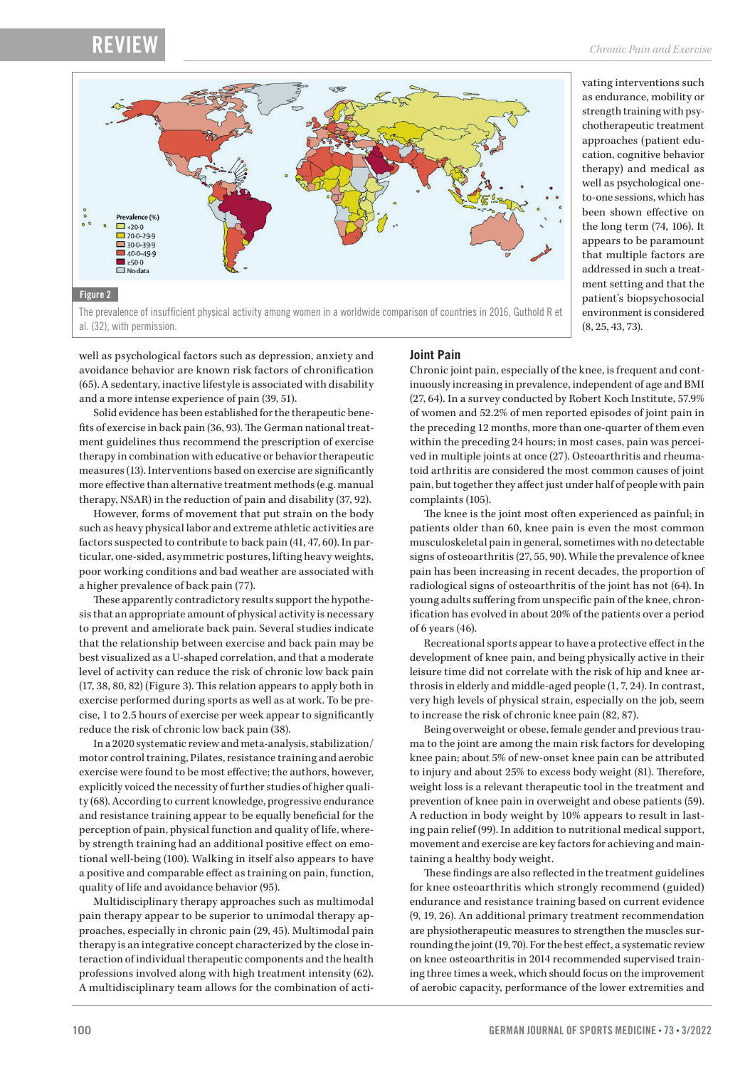al. (32), with permission.



vating interventions such as endurance, mobility or strength training with psychotherapeutic treatment approaches (patient education, cognitive behavior therapy) and medical as well as psychological oneto-one sessions, which has been shown effective on the long term (74, 106). It appears to be paramount that multiple factors are addressed in such a treatment setting and that the patient's biopsychosocial environment is considered (8, 25, 43, 73).

well as psychological factors such as depression, anxiety and avoidance behavior are known risk factors of chronification (65). A sedentary, inactive lifestyle is associated with disability and a more intense experience of pain (39, 51).

Solid evidence has been established for the therapeutic benefits of exercise in back pain (36, 93). The German national treatment guidelines thus recommend the prescription of exercise therapy in combination with educative or behavior therapeutic measures (13). Interventions based on exercise are significantly more effective than alternative treatment methods (e.g. manual therapy, NSAR) in the reduction of pain and disability (37, 92).

However, forms of movement that put strain on the body such as heavy physical labor and extreme athletic activities are factors suspected to contribute to back pain (41, 47, 60). In particular, one-sided, asymmetric postures, lifting heavy weights, poor working conditions and bad weather are associated with a higher prevalence of back pain (77).

These apparently contradictory results support the hypothesis that an appropriate amount of physical activity is necessary to prevent and ameliorate back pain. Several studies indicate that the relationship between exercise and back pain may be best visualized as a U-shaped correlation, and that a moderate level of activity can reduce the risk of chronic low back pain (17, 38, 80, 82) (Figure 3). This relation appears to apply both in exercise performed during sports as well as at work. To be precise, 1 to 2.5 hours of exercise per week appear to significantly reduce the risk of chronic low back pain (38).

In a 2020 systematic review and meta-analysis, stabilization/ motor control training, Pilates, resistance training and aerobic exercise were found to be most effective; the authors, however, explicitly voiced the necessity of further studies of higher quality (68). According to current knowledge, progressive endurance and resistance training appear to be equally beneficial for the perception of pain, physical function and quality of life, whereby strength training had an additional positive effect on emotional well-being (100). Walking in itself also appears to have a positive and comparable effect as training on pain, function, quality of life and avoidance behavior (95).

Multidisciplinary therapy approaches such as multimodal pain therapy appear to be superior to unimodal therapy approaches, especially in chronic pain (29, 45). Multimodal pain therapy is an integrative concept characterized by the close interaction of individual therapeutic components and the health professions involved along with high treatment intensity (62). A multidisciplinary team allows for the combination of acti-

#### **Joint Pain**

Chronic joint pain, especially of the knee, is frequent and continuously increasing in prevalence, independent of age and BMI (27, 64). In a survey conducted by Robert Koch Institute, 57.9% of women and 52.2% of men reported episodes of joint pain in the preceding 12 months, more than one-quarter of them even within the preceding 24 hours; in most cases, pain was perceived in multiple joints at once (27). Osteoarthritis and rheumatoid arthritis are considered the most common causes of joint pain, but together they affect just under half of people with pain complaints (105).

The knee is the joint most often experienced as painful; in patients older than 60, knee pain is even the most common musculoskeletal pain in general, sometimes with no detectable signs of osteoarthritis (27, 55, 90). While the prevalence of knee pain has been increasing in recent decades, the proportion of radiological signs of osteoarthritis of the joint has not (64). In young adults suffering from unspecific pain of the knee, chronification has evolved in about 20% of the patients over a period of 6 years (46).

Recreational sports appear to have a protective effect in the development of knee pain, and being physically active in their leisure time did not correlate with the risk of hip and knee arthrosis in elderly and middle-aged people (1, 7, 24). In contrast, very high levels of physical strain, especially on the job, seem to increase the risk of chronic knee pain (82, 87).

Being overweight or obese, female gender and previous trauma to the joint are among the main risk factors for developing knee pain; about 5% of new-onset knee pain can be attributed to injury and about 25% to excess body weight (81). Therefore, weight loss is a relevant therapeutic tool in the treatment and prevention of knee pain in overweight and obese patients (59). A reduction in body weight by 10% appears to result in lasting pain relief (99). In addition to nutritional medical support, movement and exercise are key factors for achieving and maintaining a healthy body weight.

These findings are also reflected in the treatment guidelines for knee osteoarthritis which strongly recommend (guided) endurance and resistance training based on current evidence (9, 19, 26). An additional primary treatment recommendation are physiotherapeutic measures to strengthen the muscles surrounding the joint (19, 70). For the best effect, a systematic review on knee osteoarthritis in 2014 recommended supervised training three times a week, which should focus on the improvement of aerobic capacity, performance of the lower extremities and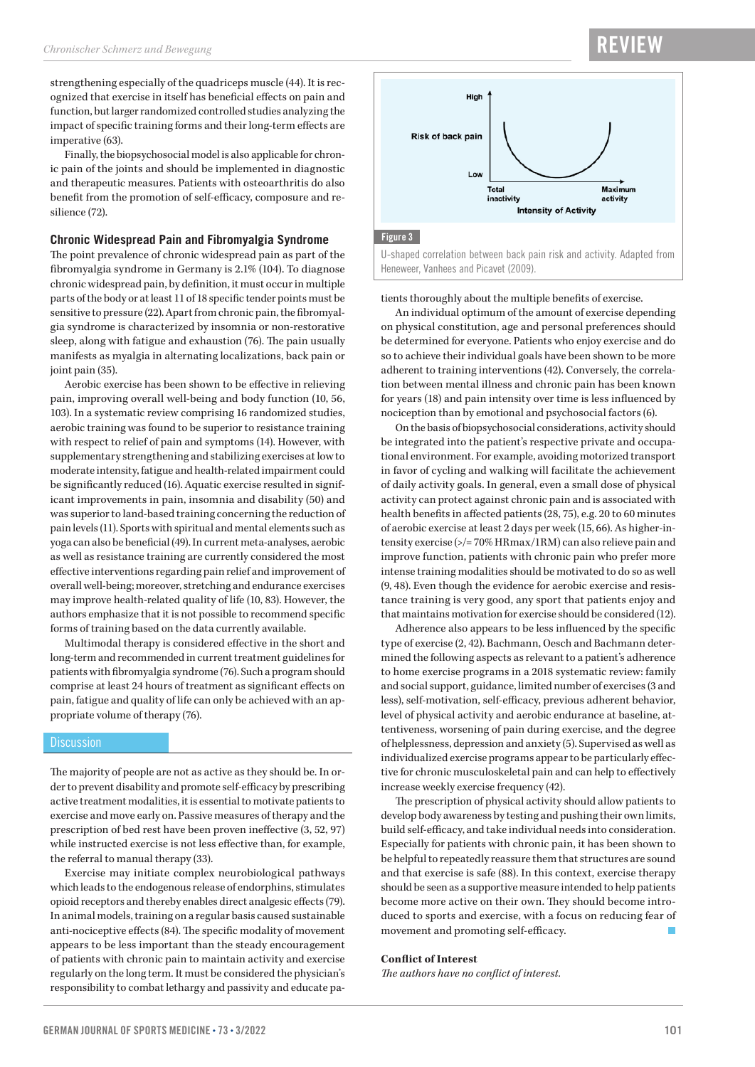strengthening especially of the quadriceps muscle (44). It is recognized that exercise in itself has beneficial effects on pain and function, but larger randomized controlled studies analyzing the impact of specific training forms and their long-term effects are imperative (63).

Finally, the biopsychosocial model is also applicable for chronic pain of the joints and should be implemented in diagnostic and therapeutic measures. Patients with osteoarthritis do also benefit from the promotion of self-efficacy, composure and resilience (72).

#### **Chronic Widespread Pain and Fibromyalgia Syndrome**

The point prevalence of chronic widespread pain as part of the fibromyalgia syndrome in Germany is 2.1% (104). To diagnose chronic widespread pain, by definition, it must occur in multiple parts of the body or at least 11 of 18 specific tender points must be sensitive to pressure (22). Apart from chronic pain, the fibromyalgia syndrome is characterized by insomnia or non-restorative sleep, along with fatigue and exhaustion (76). The pain usually manifests as myalgia in alternating localizations, back pain or joint pain (35).

Aerobic exercise has been shown to be effective in relieving pain, improving overall well-being and body function (10, 56, 103). In a systematic review comprising 16 randomized studies, aerobic training was found to be superior to resistance training with respect to relief of pain and symptoms (14). However, with supplementary strengthening and stabilizing exercises at low to moderate intensity, fatigue and health-related impairment could be significantly reduced (16). Aquatic exercise resulted in significant improvements in pain, insomnia and disability (50) and was superior to land-based training concerning the reduction of pain levels (11). Sports with spiritual and mental elements such as yoga can also be beneficial (49). In current meta-analyses, aerobic as well as resistance training are currently considered the most effective interventions regarding pain relief and improvement of overall well-being; moreover, stretching and endurance exercises may improve health-related quality of life (10, 83). However, the authors emphasize that it is not possible to recommend specific forms of training based on the data currently available.

Multimodal therapy is considered effective in the short and long-term and recommended in current treatment guidelines for patients with fibromyalgia syndrome (76). Such a program should comprise at least 24 hours of treatment as significant effects on pain, fatigue and quality of life can only be achieved with an appropriate volume of therapy (76).

#### **Discussion**

The majority of people are not as active as they should be. In order to prevent disability and promote self-efficacy by prescribing active treatment modalities, it is essential to motivate patients to exercise and move early on. Passive measures of therapy and the prescription of bed rest have been proven ineffective (3, 52, 97) while instructed exercise is not less effective than, for example, the referral to manual therapy (33).

Exercise may initiate complex neurobiological pathways which leads to the endogenous release of endorphins, stimulates opioid receptors and thereby enables direct analgesic effects (79). In animal models, training on a regular basis caused sustainable anti-nociceptive effects (84). The specific modality of movement appears to be less important than the steady encouragement of patients with chronic pain to maintain activity and exercise regularly on the long term. It must be considered the physician's responsibility to combat lethargy and passivity and educate pa-

### RE<sup>V</sup>



U-shaped correlation between back pain risk and activity. Adapted from Heneweer, Vanhees and Picavet (2009).

tients thoroughly about the multiple benefits of exercise.

An individual optimum of the amount of exercise depending on physical constitution, age and personal preferences should be determined for everyone. Patients who enjoy exercise and do so to achieve their individual goals have been shown to be more adherent to training interventions (42). Conversely, the correlation between mental illness and chronic pain has been known for years (18) and pain intensity over time is less influenced by nociception than by emotional and psychosocial factors (6).

On the basis of biopsychosocial considerations, activity should be integrated into the patient's respective private and occupational environment. For example, avoiding motorized transport in favor of cycling and walking will facilitate the achievement of daily activity goals. In general, even a small dose of physical activity can protect against chronic pain and is associated with health benefits in affected patients (28, 75), e.g. 20 to 60 minutes of aerobic exercise at least 2 days per week (15, 66). As higher-intensity exercise (>/= 70% HRmax/1RM) can also relieve pain and improve function, patients with chronic pain who prefer more intense training modalities should be motivated to do so as well (9, 48). Even though the evidence for aerobic exercise and resistance training is very good, any sport that patients enjoy and that maintains motivation for exercise should be considered (12).

Adherence also appears to be less influenced by the specific type of exercise (2, 42). Bachmann, Oesch and Bachmann determined the following aspects as relevant to a patient's adherence to home exercise programs in a 2018 systematic review: family and social support, guidance, limited number of exercises (3 and less), self-motivation, self-efficacy, previous adherent behavior, level of physical activity and aerobic endurance at baseline, attentiveness, worsening of pain during exercise, and the degree of helplessness, depression and anxiety (5). Supervised as well as individualized exercise programs appear to be particularly effective for chronic musculoskeletal pain and can help to effectively increase weekly exercise frequency (42).

The prescription of physical activity should allow patients to develop body awareness by testing and pushing their own limits, build self-efficacy, and take individual needs into consideration. Especially for patients with chronic pain, it has been shown to be helpful to repeatedly reassure them that structures are sound and that exercise is safe (88). In this context, exercise therapy should be seen as a supportive measure intended to help patients become more active on their own. They should become introduced to sports and exercise, with a focus on reducing fear of movement and promoting self-efficacy.

#### **Conflict of Interest**

*The authors have no conflict of interest.*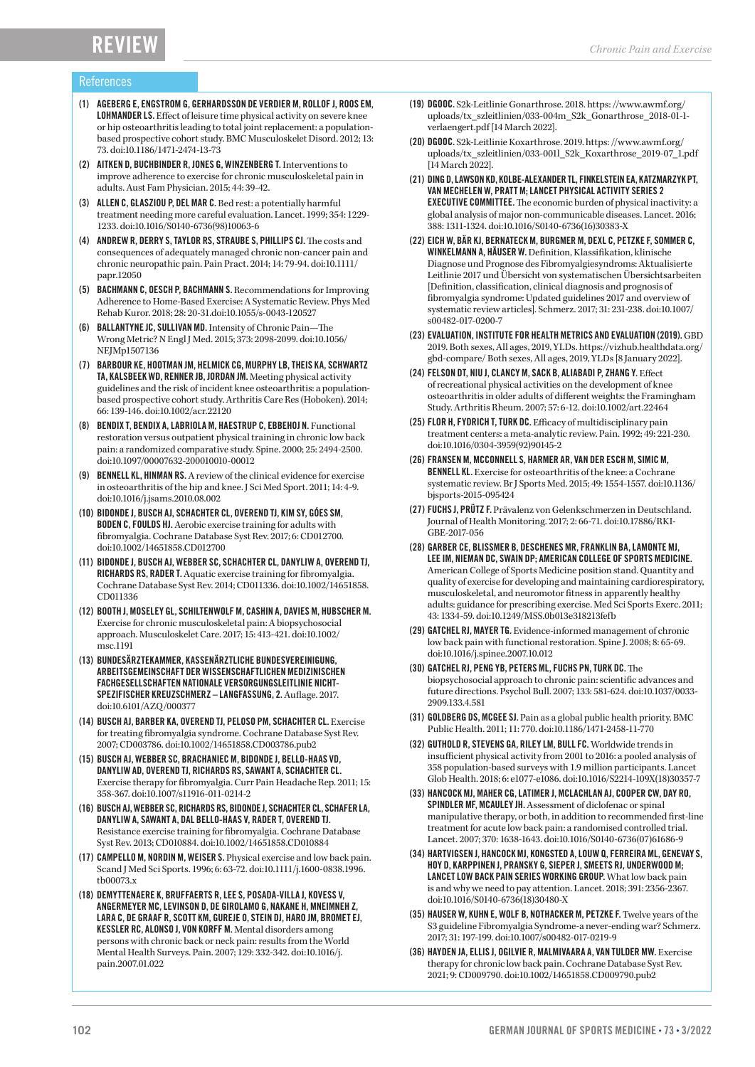#### References

- (1) AGEBERG E, ENGSTROM G, GERHARDSSON DE VERDIER M, ROLLOF J, ROOS EM, LOHMANDER LS. Effect of leisure time physical activity on severe knee or hip osteoarthritis leading to total joint replacement: a populationbased prospective cohort study. BMC Musculoskelet Disord. 2012; 13: 73. doi:10.1186/1471-2474-13-73
- (2) AITKEN D, BUCHBINDER R, JONES G, WINZENBERG T. Interventions to improve adherence to exercise for chronic musculoskeletal pain in adults. Aust Fam Physician. 2015; 44: 39-42.
- (3) ALLEN C, GLASZIOU P, DEL MAR C. Bed rest: a potentially harmful treatment needing more careful evaluation. Lancet. 1999; 354: 1229-1233. doi:10.1016/S0140-6736(98)10063-6
- (4) ANDREW R, DERRY S, TAYLOR RS, STRAUBE S, PHILLIPS CJ. The costs and consequences of adequately managed chronic non-cancer pain and chronic neuropathic pain. Pain Pract. 2014; 14: 79-94. doi:10.1111/ papr.12050
- (5) BACHMANN C, OESCH P, BACHMANN S. Recommendations for Improving Adherence to Home-Based Exercise: A Systematic Review. Phys Med Rehab Kuror. 2018; 28: 20-31.doi:10.1055/s-0043-120527
- (6) BALLANTYNE JC, SULLIVAN MD. Intensity of Chronic Pain—The Wrong Metric? N Engl J Med. 2015; 373: 2098-2099. doi:10.1056/ NEJMp1507136
- (7) BARBOUR KE, HOOTMAN JM, HELMICK CG, MURPHY LB, THEIS KA, SCHWARTZ TA, KALSBEEK WD, RENNER JB, JORDAN JM. Meeting physical activity guidelines and the risk of incident knee osteoarthritis: a populationbased prospective cohort study. Arthritis Care Res (Hoboken). 2014; 66: 139-146. doi:10.1002/acr.22120
- (8) BENDIX T, BENDIX A, LABRIOLA M, HAESTRUP C, EBBEHOJ N. Functional restoration versus outpatient physical training in chronic low back pain: a randomized comparative study. Spine. 2000; 25: 2494-2500. doi:10.1097/00007632-200010010-00012
- (9) BENNELL KL, HINMAN RS. A review of the clinical evidence for exercise in osteoarthritis of the hip and knee. J Sci Med Sport. 2011; 14: 4-9. doi:10.1016/j.jsams.2010.08.002
- (10) BIDONDE J, BUSCH AJ, SCHACHTER CL, OVEREND TJ, KIM SY, GÓES SM, BODEN C, FOULDS HJ. Aerobic exercise training for adults with fibromyalgia. Cochrane Database Syst Rev. 2017; 6: CD012700. doi:10.1002/14651858.CD012700
- (11) BIDONDE J, BUSCH AJ, WEBBER SC, SCHACHTER CL, DANYLIW A, OVEREND TJ, RICHARDS RS, RADER T. Aquatic exercise training for fibromyalgia. Cochrane Database Syst Rev. 2014; CD011336. doi:10.1002/14651858. CD011336
- (12) BOOTH J, MOSELEY GL, SCHILTENWOLF M, CASHIN A, DAVIES M, HUBSCHER M. Exercise for chronic musculoskeletal pain: A biopsychosocial approach. Musculoskelet Care. 2017; 15: 413-421. doi:10.1002/ msc.1191
- (13) BUNDESÄRZTEKAMMER, KASSENÄRZTLICHE BUNDESVEREINIGUNG, ARBEITSGEMEINSCHAFT DER WISSENSCHAFTLICHEN MEDIZINISCHEN FACHGESELLSCHAFTEN NATIONALE VERSORGUNGSLEITLINIE NICHT-SPEZIFISCHER KREUZSCHMERZ – LANGFASSUNG, 2. Auflage. 2017. doi:10.6101/AZQ/000377
- (14) BUSCH AJ, BARBER KA, OVEREND TJ, PELOSO PM, SCHACHTER CL. Exercise for treating fibromyalgia syndrome. Cochrane Database Syst Rev. 2007; CD003786. doi:10.1002/14651858.CD003786.pub2
- (15) BUSCH AJ, WEBBER SC, BRACHANIEC M, BIDONDE J, BELLO-HAAS VD, DANYLIW AD, OVEREND TJ, RICHARDS RS, SAWANT A, SCHACHTER CL. Exercise therapy for fibromyalgia. Curr Pain Headache Rep. 2011; 15: 358-367. doi:10.1007/s11916-011-0214-2
- (16) BUSCH AJ, WEBBER SC, RICHARDS RS, BIDONDE J, SCHACHTER CL, SCHAFER LA, DANYLIW A, SAWANT A, DAL BELLO-HAAS V, RADER T, OVEREND TJ. Resistance exercise training for fibromyalgia. Cochrane Database Syst Rev. 2013; CD010884. doi:10.1002/14651858.CD010884
- (17) CAMPELLO M, NORDIN M, WEISER S. Physical exercise and low back pain. Scand J Med Sci Sports. 1996; 6: 63-72. doi:10.1111/j.1600-0838.1996. tb00073.x
- (18) DEMYTTENAERE K, BRUFFAERTS R, LEE S, POSADA-VILLA J, KOVESS V, ANGERMEYER MC, LEVINSON D, DE GIROLAMO G, NAKANE H, MNEIMNEH Z, LARA C, DE GRAAF R, SCOTT KM, GUREJE O, STEIN DJ, HARO JM, BROMET EJ, KESSLER RC, ALONSO J, VON KORFF M. Mental disorders among persons with chronic back or neck pain: results from the World Mental Health Surveys. Pain. 2007; 129: 332-342. doi:10.1016/j. pain.2007.01.022
- (19) DGOOC. S2k-Leitlinie Gonarthrose. 2018. https: //www.awmf.org/ uploads/tx\_szleitlinien/033-004m\_S2k\_Gonarthrose\_2018-01-1verlaengert.pdf [14 March 2022].
- (20) DGOOC. S2k-Leitlinie Koxarthrose. 2019. https: //www.awmf.org/ uploads/tx\_szleitlinien/033-001l\_S2k\_Koxarthrose\_2019-07\_1.pdf [14 March 2022].
- (21) DING D, LAWSON KD, KOLBE-ALEXANDER TL, FINKELSTEIN EA, KATZMARZYK PT, VAN MECHELEN W, PRATT M; LANCET PHYSICAL ACTIVITY SERIES 2 EXECUTIVE COMMITTEE. The economic burden of physical inactivity: a global analysis of major non-communicable diseases. Lancet. 2016; 388: 1311-1324. doi:10.1016/S0140-6736(16)30383-X
- (22) EICH W, BÄR KJ, BERNATECK M, BURGMER M, DEXL C, PETZKE F, SOMMER C, WINKELMANN A, HÄUSER W. Definition, Klassifikation, klinische Diagnose und Prognose des Fibromyalgiesyndroms: Aktualisierte Leitlinie 2017 und Übersicht von systematischen Übersichtsarbeiten [Definition, classification, clinical diagnosis and prognosis of fibromyalgia syndrome: Updated guidelines 2017 and overview of systematic review articles]. Schmerz. 2017; 31: 231-238. doi:10.1007/ s00482-017-0200-7
- (23) EVALUATION, INSTITUTE FOR HEALTH METRICS AND EVALUATION (2019). GBD 2019. Both sexes, All ages, 2019, YLDs. https://vizhub.healthdata.org/ gbd-compare/ Both sexes, All ages, 2019, YLDs [8 January 2022].
- (24) FELSON DT, NIU J, CLANCY M, SACK B, ALIABADI P, ZHANG Y. Effect of recreational physical activities on the development of knee osteoarthritis in older adults of different weights: the Framingham Study. Arthritis Rheum. 2007; 57: 6-12. doi:10.1002/art.22464
- (25) FLOR H, FYDRICH T, TURK DC. Efficacy of multidisciplinary pain treatment centers: a meta-analytic review. Pain. 1992; 49: 221-230. doi:10.1016/0304-3959(92)90145-2
- (26) FRANSEN M, MCCONNELL S, HARMER AR, VAN DER ESCH M, SIMIC M, BENNELL KL. Exercise for osteoarthritis of the knee: a Cochrane systematic review. Br J Sports Med. 2015; 49: 1554-1557. doi:10.1136/ bjsports-2015-095424
- (27) FUCHS J, PRÜTZ F. Prävalenz von Gelenkschmerzen in Deutschland. Journal of Health Monitoring. 2017; 2: 66-71. doi:10.17886/RKI-GBE-2017-056
- (28) GARBER CE, BLISSMER B, DESCHENES MR, FRANKLIN BA, LAMONTE MJ, LEE IM, NIEMAN DC, SWAIN DP; AMERICAN COLLEGE OF SPORTS MEDICINE. American College of Sports Medicine position stand. Quantity and quality of exercise for developing and maintaining cardiorespiratory, musculoskeletal, and neuromotor fitness in apparently healthy adults: guidance for prescribing exercise. Med Sci Sports Exerc. 2011; 43: 1334-59. doi:10.1249/MSS.0b013e318213fefb
- (29) GATCHEL RJ, MAYER TG. Evidence-informed management of chronic low back pain with functional restoration. Spine J. 2008; 8: 65-69. doi:10.1016/j.spinee.2007.10.012
- (30) GATCHEL RJ, PENG YB, PETERS ML, FUCHS PN, TURK DC. The biopsychosocial approach to chronic pain: scientific advances and future directions. Psychol Bull. 2007; 133: 581-624. doi:10.1037/0033-2909.133.4.581
- (31) GOLDBERG DS, MCGEE SJ. Pain as a global public health priority. BMC Public Health. 2011; 11: 770. doi:10.1186/1471-2458-11-770
- (32) GUTHOLD R, STEVENS GA, RILEY LM, BULL FC. Worldwide trends in insufficient physical activity from 2001 to 2016: a pooled analysis of 358 population-based surveys with 1.9 million participants. Lancet Glob Health. 2018; 6: e1077-e1086. doi:10.1016/S2214-109X(18)30357-7
- (33) HANCOCK MJ, MAHER CG, LATIMER J, MCLACHLAN AJ, COOPER CW, DAY RO, SPINDLER MF, MCAULEY JH. Assessment of diclofenac or spinal manipulative therapy, or both, in addition to recommended first-line treatment for acute low back pain: a randomised controlled trial. Lancet. 2007; 370: 1638-1643. doi:10.1016/S0140-6736(07)61686-9
- (34) HARTVIGSEN J, HANCOCK MJ, KONGSTED A, LOUW Q, FERREIRA ML, GENEVAY S, HOY D, KARPPINEN J, PRANSKY G, SIEPER J, SMEETS RJ, UNDERWOOD M; LANCET LOW BACK PAIN SERIES WORKING GROUP. What low back pain is and why we need to pay attention. Lancet. 2018; 391: 2356-2367. doi:10.1016/S0140-6736(18)30480-X
- (35) HAUSER W, KUHN E, WOLF B, NOTHACKER M, PETZKE F. Twelve years of the S3 guideline Fibromyalgia Syndrome-a never-ending war? Schmerz. 2017; 31: 197-199. doi:10.1007/s00482-017-0219-9
- (36) HAYDEN JA, ELLIS J, OGILVIE R, MALMIVAARA A, VAN TULDER MW. Exercise therapy for chronic low back pain. Cochrane Database Syst Rev. 2021; 9: CD009790. doi:10.1002/14651858.CD009790.pub2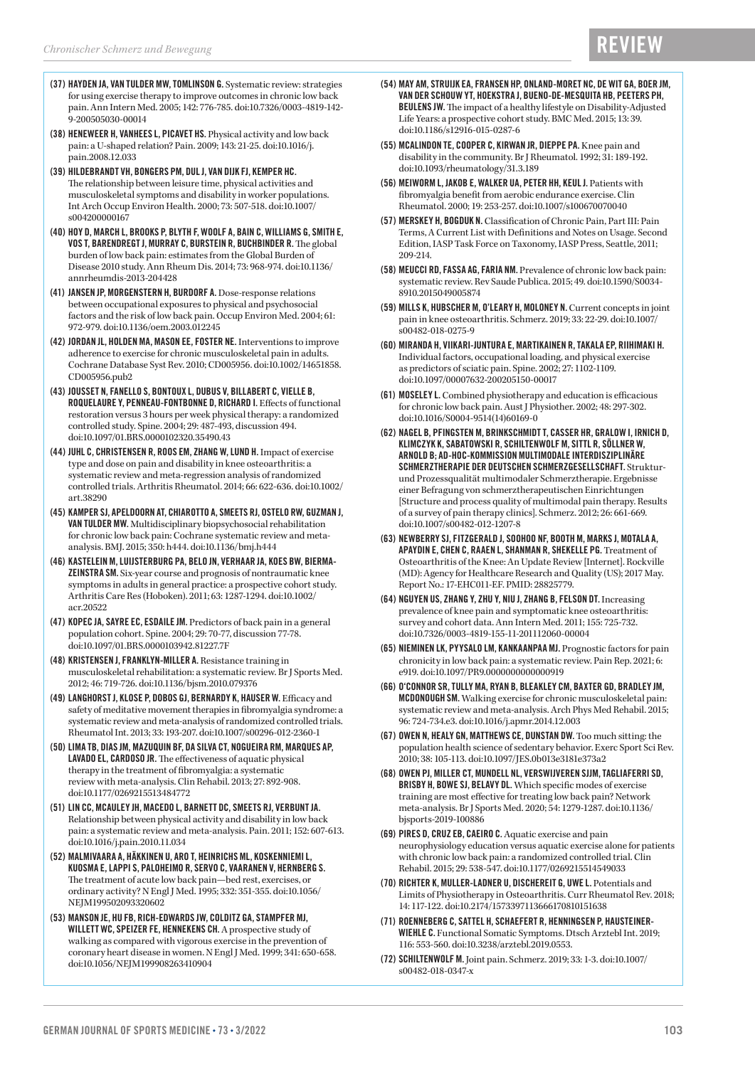- (37) HAYDEN JA, VAN TULDER MW, TOMLINSON G. Systematic review: strategies for using exercise therapy to improve outcomes in chronic low back pain. Ann Intern Med. 2005; 142: 776-785. doi:10.7326/0003-4819-142-9-200505030-00014
- (38) HENEWEER H, VANHEES L, PICAVET HS. Physical activity and low back pain: a U-shaped relation? Pain. 2009; 143: 21-25. doi:10.1016/j. pain.2008.12.033
- (39) HILDEBRANDT VH, BONGERS PM, DUL J, VAN DIJK FJ, KEMPER HC. The relationship between leisure time, physical activities and musculoskeletal symptoms and disability in worker populations. Int Arch Occup Environ Health. 2000; 73: 507-518. doi:10.1007/ s004200000167
- (40) HOY D, MARCH L, BROOKS P, BLYTH F, WOOLF A, BAIN C, WILLIAMS G, SMITH E, VOS T, BARENDREGT J, MURRAY C, BURSTEIN R, BUCHBINDER R. The global burden of low back pain: estimates from the Global Burden of Disease 2010 study. Ann Rheum Dis. 2014; 73: 968-974. doi:10.1136/ annrheumdis-2013-204428
- (41) JANSEN JP, MORGENSTERN H, BURDORF A. Dose-response relations between occupational exposures to physical and psychosocial factors and the risk of low back pain. Occup Environ Med. 2004; 61: 972-979. doi:10.1136/oem.2003.012245
- (42) JORDAN JL, HOLDEN MA, MASON EE, FOSTER NE. Interventions to improve adherence to exercise for chronic musculoskeletal pain in adults. Cochrane Database Syst Rev. 2010; CD005956. doi:10.1002/14651858. CD005956.pub2
- (43) JOUSSET N, FANELLO S, BONTOUX L, DUBUS V, BILLABERT C, VIELLE B, ROQUELAURE Y, PENNEAU-FONTBONNE D, RICHARD I. Effects of functional restoration versus 3 hours per week physical therapy: a randomized controlled study. Spine. 2004; 29: 487-493, discussion 494. doi:10.1097/01.BRS.0000102320.35490.43
- (44) JUHL C, CHRISTENSEN R, ROOS EM, ZHANG W, LUND H. Impact of exercise type and dose on pain and disability in knee osteoarthritis: a systematic review and meta-regression analysis of randomized controlled trials. Arthritis Rheumatol. 2014; 66: 622-636. doi:10.1002/ art.38290
- (45) KAMPER SJ, APELDOORN AT, CHIAROTTO A, SMEETS RJ, OSTELO RW, GUZMAN J, VAN TULDER MW. Multidisciplinary biopsychosocial rehabilitation for chronic low back pain: Cochrane systematic review and metaanalysis. BMJ. 2015; 350: h444. doi:10.1136/bmj.h444
- (46) KASTELEIN M, LUIJSTERBURG PA, BELO JN, VERHAAR JA, KOES BW, BIERMA-ZEINSTRA SM. Six-year course and prognosis of nontraumatic knee symptoms in adults in general practice: a prospective cohort study. Arthritis Care Res (Hoboken). 2011; 63: 1287-1294. doi:10.1002/ acr.20522
- (47) KOPEC JA, SAYRE EC, ESDAILE JM. Predictors of back pain in a general population cohort. Spine. 2004; 29: 70-77, discussion 77-78. doi:10.1097/01.BRS.0000103942.81227.7F
- (48) KRISTENSEN J, FRANKLYN-MILLER A. Resistance training in musculoskeletal rehabilitation: a systematic review. Br J Sports Med. 2012; 46: 719-726. doi:10.1136/bjsm.2010.079376
- (49) LANGHORST J, KLOSE P, DOBOS GJ, BERNARDY K, HAUSER W. Efficacy and safety of meditative movement therapies in fibromyalgia syndrome: a systematic review and meta-analysis of randomized controlled trials. Rheumatol Int. 2013; 33: 193-207. doi:10.1007/s00296-012-2360-1
- (50) LIMA TB, DIAS JM, MAZUQUIN BF, DA SILVA CT, NOGUEIRA RM, MARQUES AP, LAVADO EL, CARDOSO JR. The effectiveness of aquatic physical therapy in the treatment of fibromyalgia: a systematic review with meta-analysis. Clin Rehabil. 2013; 27: 892-908. doi:10.1177/0269215513484772
- (51) LIN CC, MCAULEY JH, MACEDO L, BARNETT DC, SMEETS RJ, VERBUNT JA. Relationship between physical activity and disability in low back pain: a systematic review and meta-analysis. Pain. 2011; 152: 607-613. doi:10.1016/j.pain.2010.11.034
- (52) MALMIVAARA A, HÄKKINEN U, ARO T, HEINRICHS ML, KOSKENNIEMI L, KUOSMA E, LAPPI S, PALOHEIMO R, SERVO C, VAARANEN V, HERNBERG S. The treatment of acute low back pain—bed rest, exercises, or ordinary activity? N Engl J Med. 1995; 332: 351-355. doi:10.1056/ NEJM199502093320602
- (53) MANSON JE, HU FB, RICH-EDWARDS JW, COLDITZ GA, STAMPFER MJ, WILLETT WC, SPEIZER FE, HENNEKENS CH. A prospective study of walking as compared with vigorous exercise in the prevention of coronary heart disease in women. N Engl J Med. 1999; 341: 650-658. doi:10.1056/NEJM199908263410904
- (54) MAY AM, STRUIJK EA, FRANSEN HP, ONLAND-MORET NC, DE WIT GA, BOER JM, VAN DER SCHOUW YT, HOEKSTRA J, BUENO-DE-MESQUITA HB, PEETERS PH, BEULENS JW. The impact of a healthy lifestyle on Disability-Adjusted Life Years: a prospective cohort study. BMC Med. 2015; 13: 39. doi:10.1186/s12916-015-0287-6
- (55) MCALINDON TE, COOPER C, KIRWAN JR, DIEPPE PA. Knee pain and disability in the community. Br J Rheumatol. 1992; 31: 189-192. doi:10.1093/rheumatology/31.3.189
- (56) MEIWORM L, JAKOB E, WALKER UA, PETER HH, KEUL J. Patients with fibromyalgia benefit from aerobic endurance exercise. Clin Rheumatol. 2000; 19: 253-257. doi:10.1007/s100670070040
- (57) MERSKEY H, BOGDUK N. Classification of Chronic Pain, Part III: Pain Terms, A Current List with Definitions and Notes on Usage. Second Edition, IASP Task Force on Taxonomy, IASP Press, Seattle, 2011; 209-214.
- (58) MEUCCI RD, FASSA AG, FARIA NM. Prevalence of chronic low back pain: systematic review. Rev Saude Publica. 2015; 49. doi:10.1590/S0034-8910.2015049005874
- (59) MILLS K, HUBSCHER M, O'LEARY H, MOLONEY N. Current concepts in joint pain in knee osteoarthritis. Schmerz. 2019; 33: 22-29. doi:10.1007/ s00482-018-0275-9
- (60) MIRANDA H, VIIKARI-JUNTURA E, MARTIKAINEN R, TAKALA EP, RIIHIMAKI H. Individual factors, occupational loading, and physical exercise as predictors of sciatic pain. Spine. 2002; 27: 1102-1109. doi:10.1097/00007632-200205150-00017
- (61) MOSELEY L. Combined physiotherapy and education is efficacious for chronic low back pain. Aust J Physiother. 2002; 48: 297-302. doi:10.1016/S0004-9514(14)60169-0
- (62) NAGEL B, PFINGSTEN M, BRINKSCHMIDT T, CASSER HR, GRALOW I, IRNICH D, KLIMCZYK K, SABATOWSKI R, SCHILTENWOLF M, SITTL R, SÖLLNER W, ARNOLD B; AD-HOC-KOMMISSION MULTIMODALE INTERDISZIPLINÄRE SCHMERZTHERAPIE DER DEUTSCHEN SCHMERZGESELLSCHAFT. Strukturund Prozessqualität multimodaler Schmerztherapie. Ergebnisse einer Befragung von schmerztherapeutischen Einrichtungen [Structure and process quality of multimodal pain therapy. Results of a survey of pain therapy clinics]. Schmerz. 2012; 26: 661-669. doi:10.1007/s00482-012-1207-8
- (63) NEWBERRY SJ, FITZGERALD J, SOOHOO NF, BOOTH M, MARKS J, MOTALA A, APAYDIN E, CHEN C, RAAEN L, SHANMAN R, SHEKELLE PG. Treatment of Osteoarthritis of the Knee: An Update Review [Internet]. Rockville (MD): Agency for Healthcare Research and Quality (US); 2017 May. Report No.: 17-EHC011-EF. PMID: 28825779.
- (64) NGUYEN US, ZHANG Y, ZHU Y, NIU J, ZHANG B, FELSON DT. Increasing prevalence of knee pain and symptomatic knee osteoarthritis: survey and cohort data. Ann Intern Med. 2011; 155: 725-732. doi:10.7326/0003-4819-155-11-201112060-00004
- (65) NIEMINEN LK, PYYSALO LM, KANKAANPAA MJ. Prognostic factors for pain chronicity in low back pain: a systematic review. Pain Rep. 2021; 6: e919. doi:10.1097/PR9.0000000000000919
- (66) O'CONNOR SR, TULLY MA, RYAN B, BLEAKLEY CM, BAXTER GD, BRADLEY JM, MCDONOUGH SM. Walking exercise for chronic musculoskeletal pain: systematic review and meta-analysis. Arch Phys Med Rehabil. 2015; 96: 724-734.e3. doi:10.1016/j.apmr.2014.12.003
- (67) OWEN N, HEALY GN, MATTHEWS CE, DUNSTAN DW. Too much sitting: the population health science of sedentary behavior. Exerc Sport Sci Rev. 2010; 38: 105-113. doi:10.1097/JES.0b013e3181e373a2
- (68) OWEN PJ, MILLER CT, MUNDELL NL, VERSWIJVEREN SJJM, TAGLIAFERRI SD, BRISBY H, BOWE SJ, BELAVY DL. Which specific modes of exercise training are most effective for treating low back pain? Network meta-analysis. Br J Sports Med. 2020; 54: 1279-1287. doi:10.1136/ bjsports-2019-100886
- (69) PIRES D, CRUZ EB, CAEIRO C. Aquatic exercise and pain neurophysiology education versus aquatic exercise alone for patients with chronic low back pain: a randomized controlled trial. Clin Rehabil. 2015; 29: 538-547. doi:10.1177/0269215514549033
- (70) RICHTER K, MULLER-LADNER U, DISCHEREIT G, UWE L. Potentials and Limits of Physiotherapy in Osteoarthritis. Curr Rheumatol Rev. 2018; 14: 117-122. doi:10.2174/1573397113666170810151638
- (71) ROENNEBERG C, SATTEL H, SCHAEFERT R, HENNINGSEN P, HAUSTEINER-WIEHLE C. Functional Somatic Symptoms. Dtsch Arztebl Int. 2019; 116: 553-560. doi:10.3238/arztebl.2019.0553.
- (72) SCHILTENWOLF M. Joint pain. Schmerz. 2019; 33: 1-3. doi:10.1007/ s00482-018-0347-x